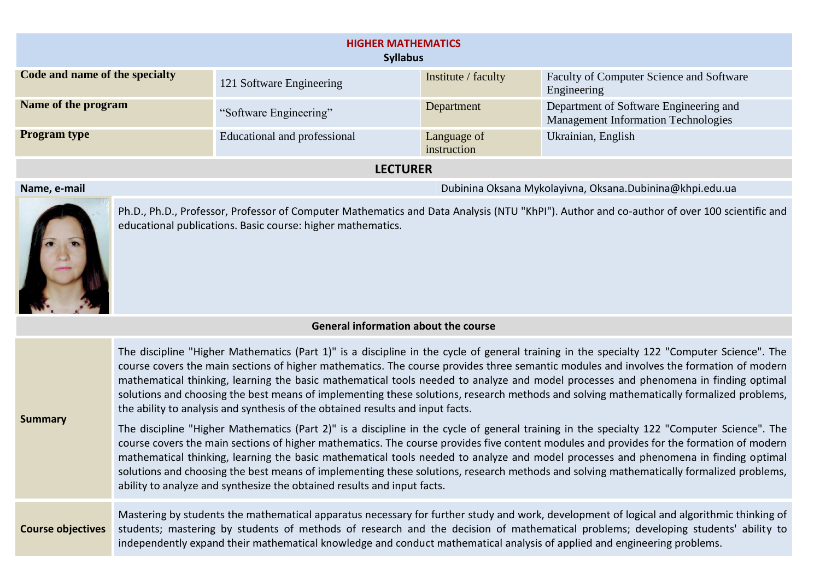|                                | <b>HIGHER MATHEMATICS</b><br><b>Syllabus</b> |                            |                                                                                      |
|--------------------------------|----------------------------------------------|----------------------------|--------------------------------------------------------------------------------------|
| Code and name of the specialty | 121 Software Engineering                     | Institute / faculty        | Faculty of Computer Science and Software<br>Engineering                              |
| Name of the program            | "Software Engineering"                       | Department                 | Department of Software Engineering and<br><b>Management Information Technologies</b> |
| <b>Program type</b>            | Educational and professional                 | Language of<br>instruction | Ukrainian, English                                                                   |
|                                | <b>LECTURER</b>                              |                            |                                                                                      |

## **Name, e-mail** Dubinina Oksana Mykolayivna, Oksana.Dubinina@khpi.edu.ua



Ph.D., Ph.D., Professor, Professor of Computer Mathematics and Data Analysis (NTU "KhPI"). Author and co-author of over 100 scientific and educational publications. Basic course: higher mathematics.

## **General information about the course**

| <b>Summary</b>           | The discipline "Higher Mathematics (Part 1)" is a discipline in the cycle of general training in the specialty 122 "Computer Science". The<br>course covers the main sections of higher mathematics. The course provides three semantic modules and involves the formation of modern<br>mathematical thinking, learning the basic mathematical tools needed to analyze and model processes and phenomena in finding optimal<br>solutions and choosing the best means of implementing these solutions, research methods and solving mathematically formalized problems,<br>the ability to analysis and synthesis of the obtained results and input facts.<br>The discipline "Higher Mathematics (Part 2)" is a discipline in the cycle of general training in the specialty 122 "Computer Science". The<br>course covers the main sections of higher mathematics. The course provides five content modules and provides for the formation of modern<br>mathematical thinking, learning the basic mathematical tools needed to analyze and model processes and phenomena in finding optimal<br>solutions and choosing the best means of implementing these solutions, research methods and solving mathematically formalized problems,<br>ability to analyze and synthesize the obtained results and input facts. |
|--------------------------|-----------------------------------------------------------------------------------------------------------------------------------------------------------------------------------------------------------------------------------------------------------------------------------------------------------------------------------------------------------------------------------------------------------------------------------------------------------------------------------------------------------------------------------------------------------------------------------------------------------------------------------------------------------------------------------------------------------------------------------------------------------------------------------------------------------------------------------------------------------------------------------------------------------------------------------------------------------------------------------------------------------------------------------------------------------------------------------------------------------------------------------------------------------------------------------------------------------------------------------------------------------------------------------------------------------------|
| <b>Course objectives</b> | Mastering by students the mathematical apparatus necessary for further study and work, development of logical and algorithmic thinking of<br>students; mastering by students of methods of research and the decision of mathematical problems; developing students' ability to<br>independently expand their mathematical knowledge and conduct mathematical analysis of applied and engineering problems.                                                                                                                                                                                                                                                                                                                                                                                                                                                                                                                                                                                                                                                                                                                                                                                                                                                                                                      |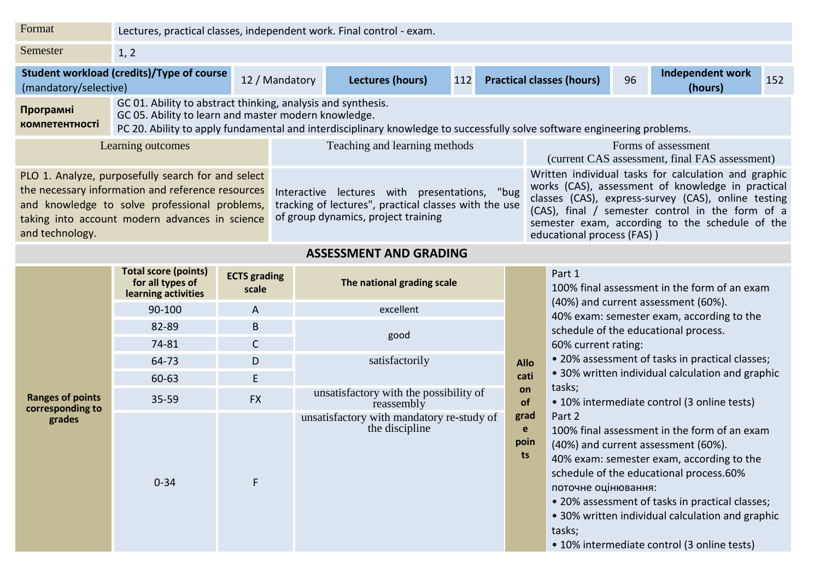| Format                             | Lectures, practical classes, independent work. Final control - exam.                                                                                                                                       |                     |                                                                                                                                               |     |                                  |    |                                                                                                                                                                                                                                                                         |     |
|------------------------------------|------------------------------------------------------------------------------------------------------------------------------------------------------------------------------------------------------------|---------------------|-----------------------------------------------------------------------------------------------------------------------------------------------|-----|----------------------------------|----|-------------------------------------------------------------------------------------------------------------------------------------------------------------------------------------------------------------------------------------------------------------------------|-----|
| Semester                           | 1, 2                                                                                                                                                                                                       |                     |                                                                                                                                               |     |                                  |    |                                                                                                                                                                                                                                                                         |     |
| (mandatory/selective)              | Student workload (credits)/Type of course                                                                                                                                                                  | 12 / Mandatory      | Lectures (hours)                                                                                                                              | 112 | <b>Practical classes (hours)</b> | 96 | Independent work<br>(hours)                                                                                                                                                                                                                                             | 152 |
| Програмні<br><b>компетентності</b> | GC 01. Ability to abstract thinking, analysis and synthesis.<br>GC 05. Ability to learn and master modern knowledge.                                                                                       |                     | PC 20. Ability to apply fundamental and interdisciplinary knowledge to successfully solve software engineering problems.                      |     |                                  |    |                                                                                                                                                                                                                                                                         |     |
|                                    | Learning outcomes                                                                                                                                                                                          |                     | Teaching and learning methods                                                                                                                 |     |                                  |    | Forms of assessment<br>(current CAS assessment, final FAS assessment)                                                                                                                                                                                                   |     |
| and technology.                    | PLO 1. Analyze, purposefully search for and select<br>the necessary information and reference resources<br>and knowledge to solve professional problems,<br>taking into account modern advances in science |                     | Interactive lectures with presentations, "bug<br>tracking of lectures", practical classes with the use<br>of group dynamics, project training |     | educational process (FAS))       |    | Written individual tasks for calculation and graphic<br>works (CAS), assessment of knowledge in practical<br>classes (CAS), express-survey (CAS), online testing<br>(CAS), final / semester control in the form of a<br>semester exam, according to the schedule of the |     |
|                                    |                                                                                                                                                                                                            |                     | <b>ASSESSMENT AND GRADING</b>                                                                                                                 |     |                                  |    |                                                                                                                                                                                                                                                                         |     |
|                                    | <b>Total score (points)</b>                                                                                                                                                                                | <b>ECTS</b> grading |                                                                                                                                               |     | Part 1                           |    |                                                                                                                                                                                                                                                                         |     |

|                                             | Total score (points)<br>for all types of<br>learning activities | <b>ECTS</b> grading<br>scale | The national grading scale                                  |                         | Part 1<br>100% fi                                                                                                                |
|---------------------------------------------|-----------------------------------------------------------------|------------------------------|-------------------------------------------------------------|-------------------------|----------------------------------------------------------------------------------------------------------------------------------|
|                                             | 90-100                                                          | $\overline{A}$               | excellent                                                   |                         | (40%) a<br>40% ex                                                                                                                |
|                                             | 82-89                                                           | $\mathsf B$                  |                                                             |                         | schedul                                                                                                                          |
|                                             | 74-81                                                           | $\mathsf C$                  | good                                                        |                         | 60% cu                                                                                                                           |
|                                             | 64-73                                                           | D                            | satisfactorily                                              | <b>Allo</b>             | • 20% c                                                                                                                          |
|                                             | 60-63                                                           | E                            |                                                             | cati                    | $\bullet$ 30% v                                                                                                                  |
| <b>Ranges of points</b><br>corresponding to | $35 - 59$                                                       | <b>FX</b>                    | unsatisfactory with the possibility of<br>reassembly        | on<br><b>of</b>         | tasks;<br>$\bullet$ 10% i                                                                                                        |
| grades                                      | $0 - 34$                                                        | F                            | unsatisfactory with mandatory re-study of<br>the discipline | grad<br>e<br>poin<br>ts | Part 2<br>100% fi<br>$(40%)$ a<br>40% ex<br>schedul<br>поточн<br>$\bullet$ 20% a<br>$\bullet$ 30% v<br>tasks;<br>$\bullet$ 10% i |

|    |             | Part 1<br>100% final assessment in the form of an exam |
|----|-------------|--------------------------------------------------------|
|    |             | (40%) and current assessment (60%).                    |
|    |             | 40% exam: semester exam, according to the              |
|    |             | schedule of the educational process.                   |
|    |             | 60% current rating:                                    |
|    | <b>Allo</b> | • 20% assessment of tasks in practical classes;        |
|    | cati        | • 30% written individual calculation and graphic       |
|    | on          | tasks;                                                 |
|    | <b>of</b>   | • 10% intermediate control (3 online tests)            |
| ١f | grad        | Part 2                                                 |
|    | e           | 100% final assessment in the form of an exam           |
|    | poin        | (40%) and current assessment (60%).                    |
|    | ts          | 40% exam: semester exam, according to the              |
|    |             | schedule of the educational process.60%                |
|    |             | поточне оцінювання:                                    |
|    |             | • 20% assessment of tasks in practical classes;        |
|    |             | • 30% written individual calculation and graphic       |
|    |             | tasks;                                                 |
|    |             | • 10% intermediate control (3 online tests)            |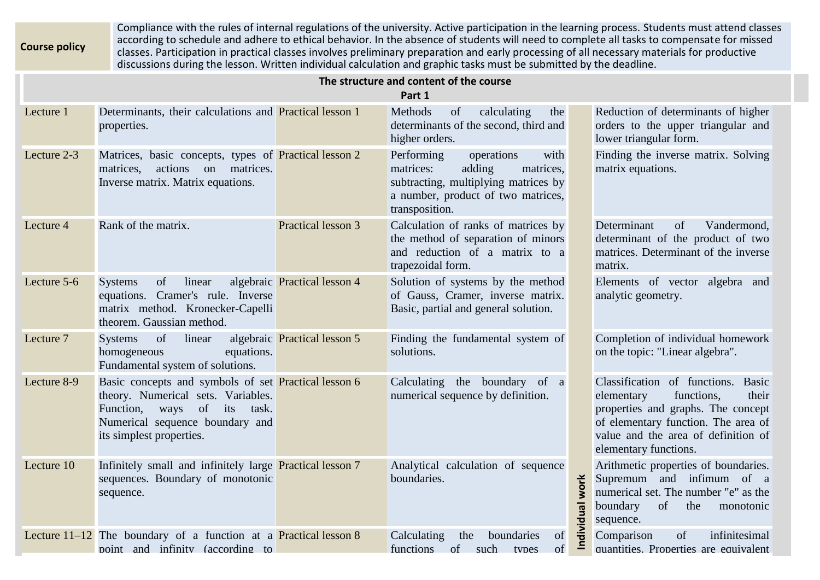**Course policy** Compliance with the rules of internal regulations of the university. Active participation in the learning process. Students must attend classes according to schedule and adhere to ethical behavior. In the absence of students will need to complete all tasks to compensate for missed classes. Participation in practical classes involves preliminary preparation and early processing of all necessary materials for productive discussions during the lesson. Written individual calculation and graphic tasks must be submitted by the deadline.

|             |                                                                                                                                                                                                      |                              | The structure and content of the course<br>Part 1                                                                                                                    |                                                                                                                                                                                                                      |
|-------------|------------------------------------------------------------------------------------------------------------------------------------------------------------------------------------------------------|------------------------------|----------------------------------------------------------------------------------------------------------------------------------------------------------------------|----------------------------------------------------------------------------------------------------------------------------------------------------------------------------------------------------------------------|
| Lecture 1   | Determinants, their calculations and <b>Practical lesson 1</b><br>properties.                                                                                                                        |                              | Methods<br>of<br>calculating<br>the<br>determinants of the second, third and<br>higher orders.                                                                       | Reduction of determinants of higher<br>orders to the upper triangular and<br>lower triangular form.                                                                                                                  |
| Lecture 2-3 | Matrices, basic concepts, types of Practical lesson 2<br>actions<br>matrices.<br>on<br>matrices.<br>Inverse matrix. Matrix equations.                                                                |                              | Performing<br>operations<br>with<br>adding<br>matrices:<br>matrices,<br>subtracting, multiplying matrices by<br>a number, product of two matrices,<br>transposition. | Finding the inverse matrix. Solving<br>matrix equations.                                                                                                                                                             |
| Lecture 4   | Rank of the matrix.                                                                                                                                                                                  | Practical lesson 3           | Calculation of ranks of matrices by<br>the method of separation of minors<br>and reduction of a matrix to a<br>trapezoidal form.                                     | Vandermond,<br>Determinant<br>of<br>determinant of the product of two<br>matrices. Determinant of the inverse<br>matrix.                                                                                             |
| Lecture 5-6 | <b>Systems</b><br>of<br>linear<br>equations. Cramer's rule. Inverse<br>matrix method. Kronecker-Capelli<br>theorem. Gaussian method.                                                                 | algebraic Practical lesson 4 | Solution of systems by the method<br>of Gauss, Cramer, inverse matrix.<br>Basic, partial and general solution.                                                       | Elements of vector<br>algebra and<br>analytic geometry.                                                                                                                                                              |
| Lecture 7   | of<br>linear<br><b>Systems</b><br>homogeneous<br>equations.<br>Fundamental system of solutions.                                                                                                      | algebraic Practical lesson 5 | Finding the fundamental system of<br>solutions.                                                                                                                      | Completion of individual homework<br>on the topic: "Linear algebra".                                                                                                                                                 |
| Lecture 8-9 | Basic concepts and symbols of set Practical lesson 6<br>theory. Numerical sets. Variables.<br>of<br>Function,<br>ways<br>its<br>task.<br>Numerical sequence boundary and<br>its simplest properties. |                              | Calculating the boundary of a<br>numerical sequence by definition.                                                                                                   | Classification of functions. Basic<br>functions,<br>elementary<br>their<br>properties and graphs. The concept<br>of elementary function. The area of<br>value and the area of definition of<br>elementary functions. |
| Lecture 10  | Infinitely small and infinitely large Practical lesson 7<br>sequences. Boundary of monotonic<br>sequence.                                                                                            |                              | Analytical calculation of sequence<br>boundaries.                                                                                                                    | Arithmetic properties of boundaries.<br>Supremum and infimum of a<br>work<br>numerical set. The number "e" as the<br>of<br>boundary<br>Individual<br>the<br>monotonic<br>sequence.                                   |
|             | Lecture $11-12$ The boundary of a function at a <b>Practical lesson 8</b><br>point and infinity (according to                                                                                        |                              | of<br>Calculating<br>the<br>boundaries<br>of<br>of<br>functions<br>such<br>types                                                                                     | Comparison<br>of<br>infinitesimal<br>quantities. Properties are equivalent                                                                                                                                           |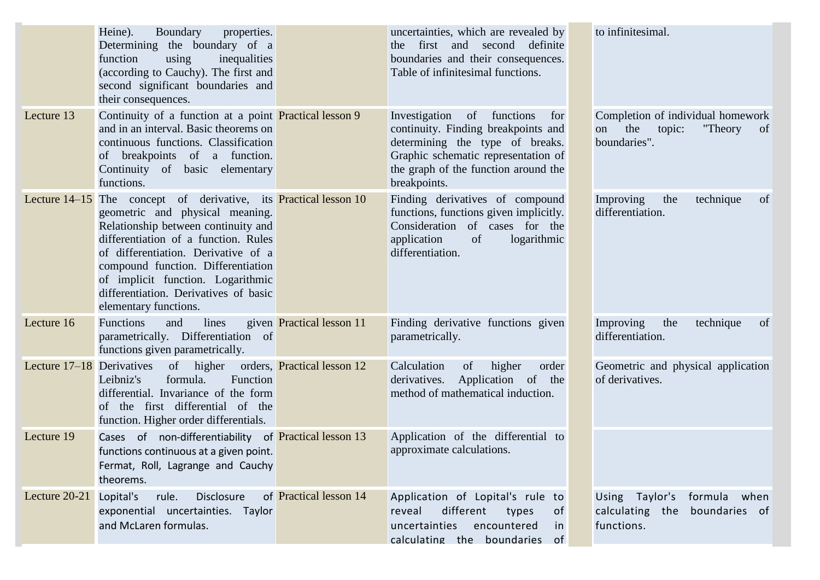|                             | Heine).<br>Boundary<br>properties.<br>Determining the boundary of a<br>using<br>inequalities<br>function<br>(according to Cauchy). The first and<br>second significant boundaries and<br>their consequences.                                                                                                                                                                  |                           | uncertainties, which are revealed by<br>the first and second definite<br>boundaries and their consequences.<br>Table of infinitesimal functions.                                                                 | to infinitesimal.                                                                                    |
|-----------------------------|-------------------------------------------------------------------------------------------------------------------------------------------------------------------------------------------------------------------------------------------------------------------------------------------------------------------------------------------------------------------------------|---------------------------|------------------------------------------------------------------------------------------------------------------------------------------------------------------------------------------------------------------|------------------------------------------------------------------------------------------------------|
| Lecture 13                  | Continuity of a function at a point <b>Practical lesson 9</b><br>and in an interval. Basic theorems on<br>continuous functions. Classification<br>of breakpoints of a function.<br>Continuity of basic elementary<br>functions.                                                                                                                                               |                           | Investigation<br>functions<br>of<br>for<br>continuity. Finding breakpoints and<br>determining the type of breaks.<br>Graphic schematic representation of<br>the graph of the function around the<br>breakpoints. | Completion of individual homework<br>the<br>"Theory<br>topic:<br><sub>of</sub><br>on<br>boundaries". |
|                             | Lecture 14–15 The concept of derivative, its <b>Practical lesson 10</b><br>geometric and physical meaning.<br>Relationship between continuity and<br>differentiation of a function. Rules<br>of differentiation. Derivative of a<br>compound function. Differentiation<br>of implicit function. Logarithmic<br>differentiation. Derivatives of basic<br>elementary functions. |                           | Finding derivatives of compound<br>functions, functions given implicitly.<br>Consideration of cases for the<br>logarithmic<br>application<br>of<br>differentiation.                                              | Improving<br>the<br>technique<br>of<br>differentiation.                                              |
| Lecture 16                  | <b>Functions</b><br>and<br>lines<br>parametrically. Differentiation of<br>functions given parametrically.                                                                                                                                                                                                                                                                     | given Practical lesson 11 | Finding derivative functions given<br>parametrically.                                                                                                                                                            | Improving<br>the<br>technique<br>of<br>differentiation.                                              |
| Lecture $17-18$ Derivatives | of higher orders, Practical lesson 12<br>Function<br>formula.<br>Leibniz's<br>differential. Invariance of the form<br>of the first differential of the<br>function. Higher order differentials.                                                                                                                                                                               |                           | Calculation<br>of<br>higher<br>order<br>Application of the<br>derivatives.<br>method of mathematical induction.                                                                                                  | Geometric and physical application<br>of derivatives.                                                |
| Lecture 19                  | Cases of non-differentiability of Practical lesson 13<br>functions continuous at a given point.<br>Fermat, Roll, Lagrange and Cauchy<br>theorems.                                                                                                                                                                                                                             |                           | Application of the differential to<br>approximate calculations.                                                                                                                                                  |                                                                                                      |
| Lecture 20-21               | Lopital's<br>Disclosure<br>rule.<br>exponential uncertainties. Taylor<br>and McLaren formulas.                                                                                                                                                                                                                                                                                | of Practical lesson 14    | Application of Lopital's rule to<br>different<br>reveal<br>types<br>0f<br>uncertainties encountered<br>in<br>calculating the boundaries of                                                                       | Using Taylor's<br>formula when<br>calculating the boundaries of<br>functions.                        |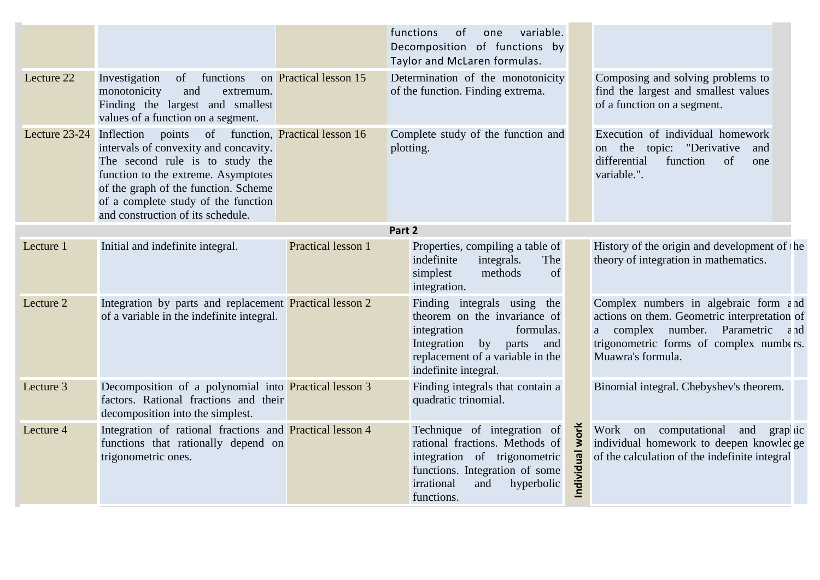|               |                                                                                                                                                                                                                                                                |                               | functions<br>variable.<br>of<br>one<br>Decomposition of functions by<br>Taylor and McLaren formulas.                                                                                     |                    |                                                                                                                                                                                                                       |
|---------------|----------------------------------------------------------------------------------------------------------------------------------------------------------------------------------------------------------------------------------------------------------------|-------------------------------|------------------------------------------------------------------------------------------------------------------------------------------------------------------------------------------|--------------------|-----------------------------------------------------------------------------------------------------------------------------------------------------------------------------------------------------------------------|
| Lecture 22    | of<br>functions<br>Investigation<br>monotonicity<br>and<br>extremum.<br>Finding the largest and smallest<br>values of a function on a segment.                                                                                                                 | on Practical lesson 15        | Determination of the monotonicity<br>of the function. Finding extrema.                                                                                                                   |                    | Composing and solving problems to<br>find the largest and smallest values<br>of a function on a segment.                                                                                                              |
| Lecture 23-24 | of<br>Inflection points<br>intervals of convexity and concavity.<br>The second rule is to study the<br>function to the extreme. Asymptotes<br>of the graph of the function. Scheme<br>of a complete study of the function<br>and construction of its schedule. | function, Practical lesson 16 | Complete study of the function and<br>plotting.                                                                                                                                          |                    | Execution of individual homework<br>the topic: "Derivative<br>and<br><sub>on</sub><br>differential<br>function<br>of<br>one<br>variable.".                                                                            |
|               |                                                                                                                                                                                                                                                                |                               | Part 2                                                                                                                                                                                   |                    |                                                                                                                                                                                                                       |
| Lecture 1     | Initial and indefinite integral.                                                                                                                                                                                                                               | Practical lesson 1            | Properties, compiling a table of<br>indefinite<br>integrals.<br>The<br>methods<br>of<br>simplest<br>integration.                                                                         |                    | History of the origin and development of he<br>theory of integration in mathematics.                                                                                                                                  |
| Lecture 2     | Integration by parts and replacement Practical lesson 2<br>of a variable in the indefinite integral.                                                                                                                                                           |                               | Finding integrals using the<br>theorem on the invariance of<br>formulas.<br>integration<br>Integration<br>by<br>parts<br>and<br>replacement of a variable in the<br>indefinite integral. |                    | Complex numbers in algebraic form $\epsilon$ nd<br>actions on them. Geometric interpretation of<br>complex number. Parametric $\varepsilon$ nd<br>a a<br>trigonometric forms of complex numbers.<br>Muawra's formula. |
| Lecture 3     | Decomposition of a polynomial into Practical lesson 3<br>factors. Rational fractions and their<br>decomposition into the simplest.                                                                                                                             |                               | Finding integrals that contain a<br>quadratic trinomial.                                                                                                                                 |                    | Binomial integral. Chebyshev's theorem.                                                                                                                                                                               |
| Lecture 4     | Integration of rational fractions and Practical lesson 4<br>functions that rationally depend on<br>trigonometric ones.                                                                                                                                         |                               | Technique of integration of<br>rational fractions. Methods of<br>integration of trigonometric<br>functions. Integration of some<br>irrational<br>and<br>hyperbolic<br>functions.         | work<br>Individual | computational<br>Work on<br>and<br>grap <i>ic</i><br>individual homework to deepen knowledge<br>of the calculation of the indefinite integral                                                                         |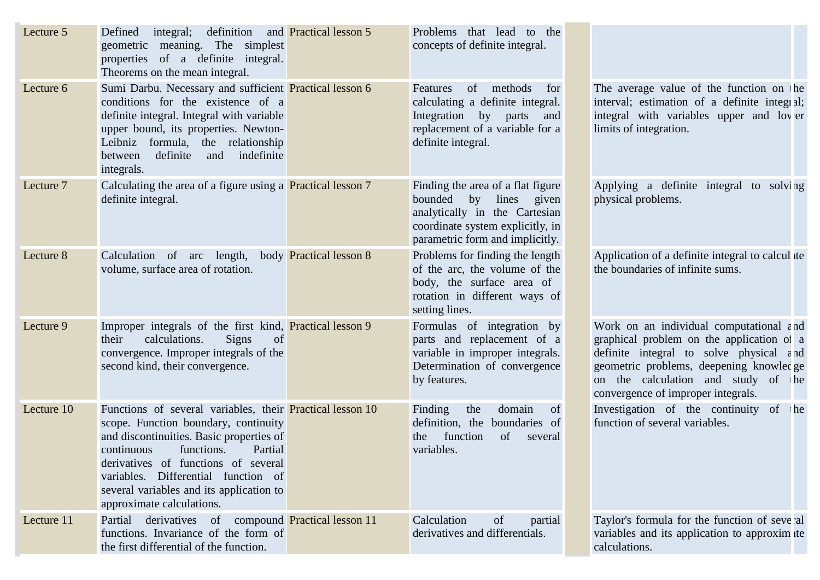| Lecture 5  | integral; definition<br>Defined<br>geometric meaning. The simplest<br>properties of a definite integral.<br>Theorems on the mean integral.                                                                                                                                                                                                         | and Practical lesson 5 | Problems that lead to the<br>concepts of definite integral.                                                                                                                  |                                                                                                                                                                                                                                                                            |
|------------|----------------------------------------------------------------------------------------------------------------------------------------------------------------------------------------------------------------------------------------------------------------------------------------------------------------------------------------------------|------------------------|------------------------------------------------------------------------------------------------------------------------------------------------------------------------------|----------------------------------------------------------------------------------------------------------------------------------------------------------------------------------------------------------------------------------------------------------------------------|
| Lecture 6  | Sumi Darbu. Necessary and sufficient Practical lesson 6<br>conditions for the existence of a<br>definite integral. Integral with variable<br>upper bound, its properties. Newton-<br>Leibniz formula, the relationship<br>definite<br>indefinite<br>and<br>between<br>integrals.                                                                   |                        | methods<br>of<br>Features<br>for<br>calculating a definite integral.<br>Integration by parts<br>and<br>replacement of a variable for a<br>definite integral.                 | The average value of the function on he<br>interval; estimation of a definite integral;<br>integral with variables upper and lover<br>limits of integration.                                                                                                               |
| Lecture 7  | Calculating the area of a figure using a <b>Practical lesson</b> 7<br>definite integral.                                                                                                                                                                                                                                                           |                        | Finding the area of a flat figure<br>by<br>lines<br>given<br>bounded<br>analytically in the Cartesian<br>coordinate system explicitly, in<br>parametric form and implicitly. | Applying a definite integral to solving<br>physical problems.                                                                                                                                                                                                              |
| Lecture 8  | Calculation of arc length, body Practical lesson 8<br>volume, surface area of rotation.                                                                                                                                                                                                                                                            |                        | Problems for finding the length<br>of the arc, the volume of the<br>body, the surface area of<br>rotation in different ways of<br>setting lines.                             | Application of a definite integral to calcul ite<br>the boundaries of infinite sums.                                                                                                                                                                                       |
| Lecture 9  | Improper integrals of the first kind, Practical lesson 9<br><b>Signs</b><br>their<br>calculations.<br>of<br>convergence. Improper integrals of the<br>second kind, their convergence.                                                                                                                                                              |                        | Formulas of integration by<br>parts and replacement of a<br>variable in improper integrals.<br>Determination of convergence<br>by features.                                  | Work on an individual computational $\epsilon$ nd<br>graphical problem on the application of a<br>definite integral to solve physical $\epsilon$ nd<br>geometric problems, deepening knowledge<br>on the calculation and study of he<br>convergence of improper integrals. |
| Lecture 10 | Functions of several variables, their <b>Practical lesson 10</b><br>scope. Function boundary, continuity<br>and discontinuities. Basic properties of<br>functions.<br>Partial<br>continuous<br>derivatives of functions of several<br>variables. Differential function of<br>several variables and its application to<br>approximate calculations. |                        | Finding<br>the<br>domain<br>of<br>boundaries of<br>definition, the<br>function<br>of<br>the<br>several<br>variables.                                                         | Investigation of the continuity of he<br>function of several variables.                                                                                                                                                                                                    |
| Lecture 11 | derivatives of compound <b>Practical lesson 11</b><br>Partial<br>functions. Invariance of the form of<br>the first differential of the function.                                                                                                                                                                                                   |                        | Calculation<br>of<br>partial<br>derivatives and differentials.                                                                                                               | Taylor's formula for the function of several<br>variables and its application to approximate<br>calculations.                                                                                                                                                              |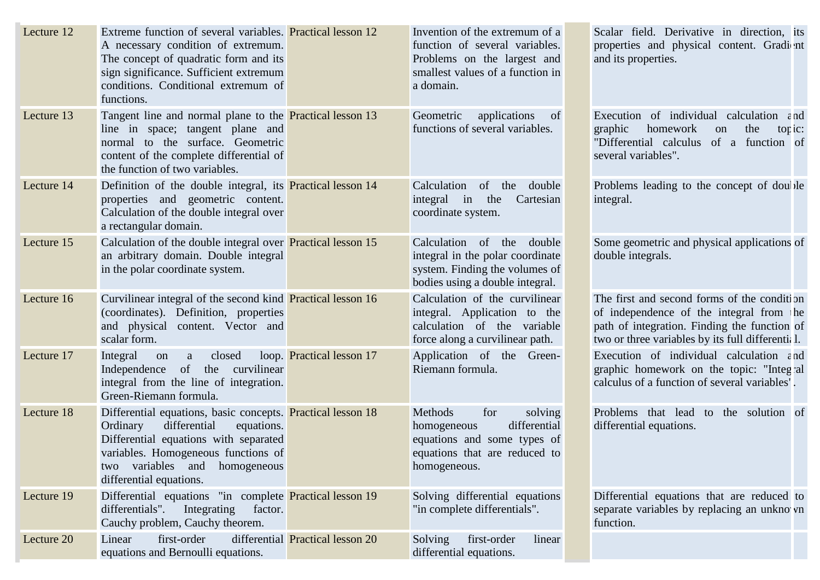| Lecture 12 | Extreme function of several variables. <b>Practical lesson 12</b><br>A necessary condition of extremum.<br>The concept of quadratic form and its<br>sign significance. Sufficient extremum<br>conditions. Conditional extremum of<br>functions.             |                                  | Invention of the extremum of a<br>function of several variables.<br>Problems on the largest and<br>smallest values of a function in<br>a domain. | Scalar field. Derivative in direction, its<br>properties and physical content. Gradi nt<br>and its properties.                                                                             |
|------------|-------------------------------------------------------------------------------------------------------------------------------------------------------------------------------------------------------------------------------------------------------------|----------------------------------|--------------------------------------------------------------------------------------------------------------------------------------------------|--------------------------------------------------------------------------------------------------------------------------------------------------------------------------------------------|
| Lecture 13 | Tangent line and normal plane to the <b>Practical lesson 13</b><br>line in space; tangent plane and<br>normal to the surface. Geometric<br>content of the complete differential of<br>the function of two variables.                                        |                                  | Geometric<br>applications<br>of<br>functions of several variables.                                                                               | Execution of individual calculation $\epsilon$ nd<br>graphic<br>homework<br>the<br>on<br>tor $i$ c:<br>"Differential calculus<br>of a function of<br>several variables".                   |
| Lecture 14 | Definition of the double integral, its <b>Practical lesson 14</b><br>properties and geometric content.<br>Calculation of the double integral over<br>a rectangular domain.                                                                                  |                                  | Calculation<br>of<br>the<br>double<br>integral in<br>the<br>Cartesian<br>coordinate system.                                                      | Problems leading to the concept of double<br>integral.                                                                                                                                     |
| Lecture 15 | Calculation of the double integral over <b>Practical lesson 15</b><br>an arbitrary domain. Double integral<br>in the polar coordinate system.                                                                                                               |                                  | Calculation of the<br>double<br>integral in the polar coordinate<br>system. Finding the volumes of<br>bodies using a double integral.            | Some geometric and physical applications of<br>double integrals.                                                                                                                           |
| Lecture 16 | Curvilinear integral of the second kind <b>Practical lesson 16</b><br>(coordinates). Definition, properties<br>and physical content. Vector and<br>scalar form.                                                                                             |                                  | Calculation of the curvilinear<br>integral. Application to the<br>calculation of the variable<br>force along a curvilinear path.                 | The first and second forms of the condition<br>of independence of the integral from he<br>path of integration. Finding the function of<br>two or three variables by its full differential. |
| Lecture 17 | Integral<br>closed<br>on<br>a<br>Independence<br>of<br>the curvilinear<br>integral from the line of integration.<br>Green-Riemann formula.                                                                                                                  | loop. Practical lesson 17        | Application of the Green-<br>Riemann formula.                                                                                                    | Execution of individual calculation $\epsilon$ nd<br>graphic homework on the topic: "Integral<br>calculus of a function of several variables'.                                             |
| Lecture 18 | Differential equations, basic concepts. <b>Practical lesson 18</b><br>differential<br>Ordinary<br>equations.<br>Differential equations with separated<br>variables. Homogeneous functions of<br>variables and homogeneous<br>two<br>differential equations. |                                  | for<br>Methods<br>solving<br>differential<br>homogeneous<br>equations and some types of<br>equations that are reduced to<br>homogeneous.         | Problems that lead to the solution of<br>differential equations.                                                                                                                           |
| Lecture 19 | Differential equations "in complete <b>Practical lesson 19</b><br>differentials".<br>Integrating<br>factor.<br>Cauchy problem, Cauchy theorem.                                                                                                              |                                  | Solving differential equations<br>"in complete differentials".                                                                                   | Differential equations that are reduced to<br>separate variables by replacing an unkno vn<br>function.                                                                                     |
| Lecture 20 | first-order<br>Linear<br>equations and Bernoulli equations.                                                                                                                                                                                                 | differential Practical lesson 20 | first-order<br>Solving<br>linear<br>differential equations.                                                                                      |                                                                                                                                                                                            |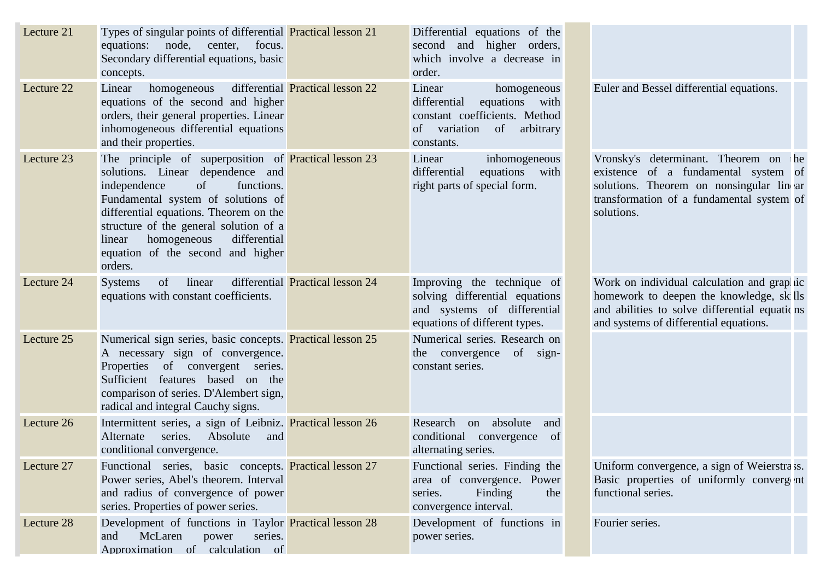| Lecture 21 | Types of singular points of differential <b>Practical lesson 21</b><br>equations: node, center,<br>focus.<br>Secondary differential equations, basic<br>concepts.                                                                                                                                                                                       |                                         | Differential equations of the<br>second and higher orders,<br>which involve a decrease in<br>order.                                    |                                                                                                                                                                                        |
|------------|---------------------------------------------------------------------------------------------------------------------------------------------------------------------------------------------------------------------------------------------------------------------------------------------------------------------------------------------------------|-----------------------------------------|----------------------------------------------------------------------------------------------------------------------------------------|----------------------------------------------------------------------------------------------------------------------------------------------------------------------------------------|
| Lecture 22 | homogeneous<br>Linear<br>equations of the second and higher<br>orders, their general properties. Linear<br>inhomogeneous differential equations<br>and their properties.                                                                                                                                                                                | differential <b>Practical lesson 22</b> | Linear<br>homogeneous<br>equations with<br>differential<br>constant coefficients. Method<br>variation of arbitrary<br>of<br>constants. | Euler and Bessel differential equations.                                                                                                                                               |
| Lecture 23 | The principle of superposition of <b>Practical lesson 23</b><br>solutions. Linear dependence and<br>of<br>independence<br>functions.<br>Fundamental system of solutions of<br>differential equations. Theorem on the<br>structure of the general solution of a<br>homogeneous<br>differential<br>linear<br>equation of the second and higher<br>orders. |                                         | Linear<br>inhomogeneous<br>equations<br>differential<br>with<br>right parts of special form.                                           | Vronsky's determinant. Theorem on<br>he<br>existence of a fundamental system of<br>solutions. Theorem on nonsingular lin ar<br>transformation of a fundamental system of<br>solutions. |
| Lecture 24 | linear<br>of<br><b>Systems</b><br>equations with constant coefficients.                                                                                                                                                                                                                                                                                 | differential Practical lesson 24        | Improving the technique of<br>solving differential equations<br>and systems of differential<br>equations of different types.           | Work on individual calculation and grap iic<br>homework to deepen the knowledge, sk lls<br>and abilities to solve differential equations<br>and systems of differential equations.     |
| Lecture 25 | Numerical sign series, basic concepts. Practical lesson 25<br>A necessary sign of convergence.<br>Properties of convergent series.<br>Sufficient features based on the<br>comparison of series. D'Alembert sign,<br>radical and integral Cauchy signs.                                                                                                  |                                         | Numerical series. Research on<br>the convergence<br>of sign-<br>constant series.                                                       |                                                                                                                                                                                        |
| Lecture 26 | Intermittent series, a sign of Leibniz. Practical lesson 26<br>Absolute<br>series.<br>and<br>Alternate<br>conditional convergence.                                                                                                                                                                                                                      |                                         | Research<br>absolute<br>on<br>and<br>conditional<br>of<br>convergence<br>alternating series.                                           |                                                                                                                                                                                        |
| Lecture 27 | Functional series, basic concepts. Practical lesson 27<br>Power series, Abel's theorem. Interval<br>and radius of convergence of power<br>series. Properties of power series.                                                                                                                                                                           |                                         | Functional series. Finding the<br>area of convergence. Power<br>Finding<br>series.<br>the<br>convergence interval.                     | Uniform convergence, a sign of Weierstra'ss.<br>Basic properties of uniformly convergent<br>functional series.                                                                         |
| Lecture 28 | Development of functions in Taylor Practical lesson 28<br>McLaren<br>and<br>series.<br>power<br>Annroximation of calculation of                                                                                                                                                                                                                         |                                         | Development of functions in<br>power series.                                                                                           | Fourier series.                                                                                                                                                                        |